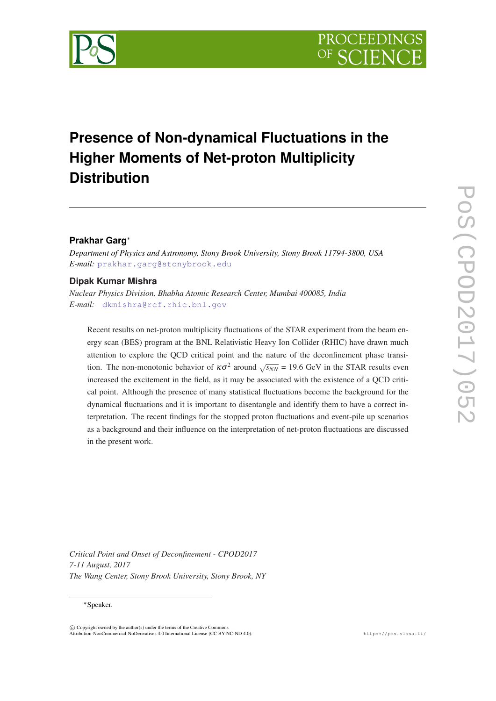

# **Presence of Non-dynamical Fluctuations in the Higher Moments of Net-proton Multiplicity Distribution**

## **Prakhar Garg**<sup>∗</sup>

*Department of Physics and Astronomy, Stony Brook University, Stony Brook 11794-3800, USA E-mail:* [prakhar.garg@stonybrook.edu](mailto:prakhar.garg@stonybrook.edu)

### **Dipak Kumar Mishra**

*Nuclear Physics Division, Bhabha Atomic Research Center, Mumbai 400085, India E-mail:* [dkmishra@rcf.rhic.bnl.gov](mailto: dkmishra@rcf.rhic.bnl.gov)

Recent results on net-proton multiplicity fluctuations of the STAR experiment from the beam energy scan (BES) program at the BNL Relativistic Heavy Ion Collider (RHIC) have drawn much attention to explore the QCD critical point and the nature of the deconfinement phase transition. The non-monotonic behavior of  $\kappa \sigma^2$  around  $\sqrt{s_{NN}} = 19.6$  GeV in the STAR results even increased the excitement in the field, as it may be associated with the existence of a QCD critical point. Although the presence of many statistical fluctuations become the background for the dynamical fluctuations and it is important to disentangle and identify them to have a correct interpretation. The recent findings for the stopped proton fluctuations and event-pile up scenarios as a background and their influence on the interpretation of net-proton fluctuations are discussed in the present work.

*Critical Point and Onset of Deconfinement - CPOD2017 7-11 August, 2017 The Wang Center, Stony Brook University, Stony Brook, NY*

#### <sup>∗</sup>Speaker.

 $\overline{c}$  Copyright owned by the author(s) under the terms of the Creative Common Attribution-NonCommercial-NoDerivatives 4.0 International License (CC BY-NC-ND 4.0). https://pos.sissa.it/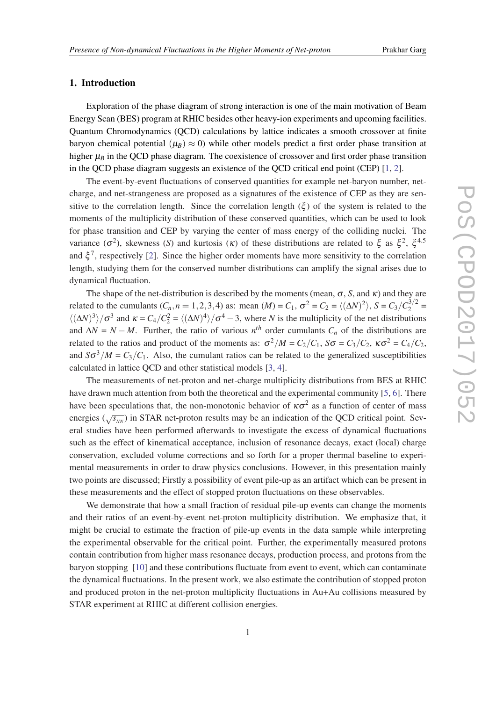#### 1. Introduction

Exploration of the phase diagram of strong interaction is one of the main motivation of Beam Energy Scan (BES) program at RHIC besides other heavy-ion experiments and upcoming facilities. Quantum Chromodynamics (QCD) calculations by lattice indicates a smooth crossover at finite baryon chemical potential ( $\mu_B$ )  $\approx$  0) while other models predict a first order phase transition at higher  $\mu_B$  in the QCD phase diagram. The coexistence of crossover and first order phase transition in the QCD phase diagram suggests an existence of the QCD critical end point (CEP) [\[1,](#page-7-0) [2\]](#page-7-0).

The event-by-event fluctuations of conserved quantities for example net-baryon number, netcharge, and net-strangeness are proposed as a signatures of the existence of CEP as they are sensitive to the correlation length. Since the correlation length  $(\xi)$  of the system is related to the moments of the multiplicity distribution of these conserved quantities, which can be used to look for phase transition and CEP by varying the center of mass energy of the colliding nuclei. The variance ( $\sigma^2$ ), skewness (*S*) and kurtosis (κ) of these distributions are related to  $\xi$  as  $\xi^2$ ,  $\xi^{4.5}$ and  $\xi^7$ , respectively [[2](#page-7-0)]. Since the higher order moments have more sensitivity to the correlation length, studying them for the conserved number distributions can amplify the signal arises due to dynamical fluctuation.

The shape of the net-distribution is described by the moments (mean,  $\sigma$ , *S*, and  $\kappa$ ) and they are related to the cumulants  $(C_n, n = 1, 2, 3, 4)$  as: mean  $(M) = C_1$ ,  $\sigma^2 = C_2 = \langle (\Delta N)^2 \rangle$ ,  $S = C_3 / C_2^{3/2}$  $\frac{13}{2}$  =  $\langle (\Delta N)^3 \rangle / \sigma^3$  and  $\kappa = C_4 / C_2^2 = \langle (\Delta N)^4 \rangle / \sigma^4 - 3$ , where *N* is the multiplicity of the net distributions and  $\Delta N = N - M$ . Further, the ratio of various  $n^{th}$  order cumulants  $C_n$  of the distributions are related to the ratios and product of the moments as:  $\sigma^2/M = C_2/C_1$ ,  $S\sigma = C_3/C_2$ ,  $\kappa \sigma^2 = C_4/C_2$ , and  $S\sigma^3/M = C_3/C_1$ . Also, the cumulant ratios can be related to the generalized susceptibilities calculated in lattice QCD and other statistical models [\[3,](#page-7-0) [4](#page-7-0)].

The measurements of net-proton and net-charge multiplicity distributions from BES at RHIC have drawn much attention from both the theoretical and the experimental community [[5](#page-7-0), [6\]](#page-7-0). There have been speculations that, the non-monotonic behavior of  $\kappa\sigma^2$  as a function of center of mass energies ( $\sqrt{s_{NN}}$ ) in STAR net-proton results may be an indication of the QCD critical point. Several studies have been performed afterwards to investigate the excess of dynamical fluctuations such as the effect of kinematical acceptance, inclusion of resonance decays, exact (local) charge conservation, excluded volume corrections and so forth for a proper thermal baseline to experimental measurements in order to draw physics conclusions. However, in this presentation mainly two points are discussed; Firstly a possibility of event pile-up as an artifact which can be present in these measurements and the effect of stopped proton fluctuations on these observables.

We demonstrate that how a small fraction of residual pile-up events can change the moments and their ratios of an event-by-event net-proton multiplicity distribution. We emphasize that, it might be crucial to estimate the fraction of pile-up events in the data sample while interpreting the experimental observable for the critical point. Further, the experimentally measured protons contain contribution from higher mass resonance decays, production process, and protons from the baryon stopping [\[10](#page-7-0)] and these contributions fluctuate from event to event, which can contaminate the dynamical fluctuations. In the present work, we also estimate the contribution of stopped proton and produced proton in the net-proton multiplicity fluctuations in Au+Au collisions measured by STAR experiment at RHIC at different collision energies.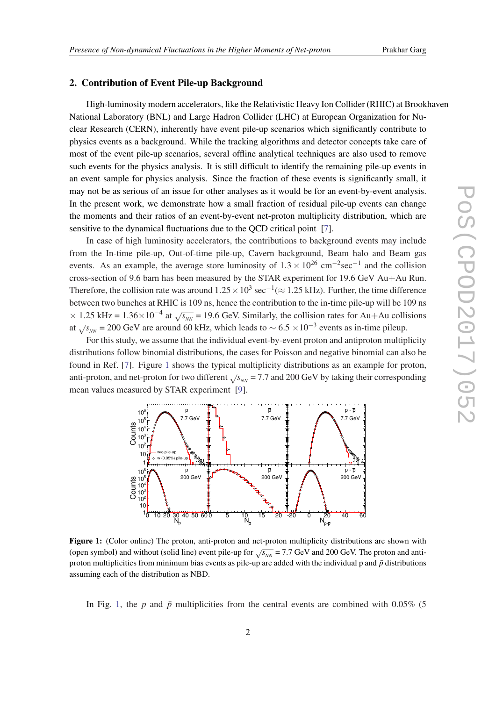#### 2. Contribution of Event Pile-up Background

High-luminosity modern accelerators, like the Relativistic Heavy Ion Collider (RHIC) at Brookhaven National Laboratory (BNL) and Large Hadron Collider (LHC) at European Organization for Nuclear Research (CERN), inherently have event pile-up scenarios which significantly contribute to physics events as a background. While the tracking algorithms and detector concepts take care of most of the event pile-up scenarios, several offline analytical techniques are also used to remove such events for the physics analysis. It is still difficult to identify the remaining pile-up events in an event sample for physics analysis. Since the fraction of these events is significantly small, it may not be as serious of an issue for other analyses as it would be for an event-by-event analysis. In the present work, we demonstrate how a small fraction of residual pile-up events can change the moments and their ratios of an event-by-event net-proton multiplicity distribution, which are sensitive to the dynamical fluctuations due to the QCD critical point [[7](#page-7-0)].

In case of high luminosity accelerators, the contributions to background events may include from the In-time pile-up, Out-of-time pile-up, Cavern background, Beam halo and Beam gas events. As an example, the average store luminosity of  $1.3 \times 10^{26}$  cm<sup>-2</sup>sec<sup>-1</sup> and the collision cross-section of 9.6 barn has been measured by the STAR experiment for 19.6 GeV Au+Au Run. Therefore, the collision rate was around  $1.25 \times 10^3$  sec<sup>-1</sup>( $\approx 1.25$  kHz). Further, the time difference between two bunches at RHIC is 109 ns, hence the contribution to the in-time pile-up will be 109 ns  $\times$  1.25 kHz = 1.36 $\times$ 10<sup>-4</sup> at  $\sqrt{s_{NN}}$  = 19.6 GeV. Similarly, the collision rates for Au+Au collisions at  $\sqrt{s_{NN}}$  = 200 GeV are around 60 kHz, which leads to  $\sim 6.5 \times 10^{-3}$  events as in-time pileup.

For this study, we assume that the individual event-by-event proton and antiproton multiplicity distributions follow binomial distributions, the cases for Poisson and negative binomial can also be found in Ref. [\[7\]](#page-7-0). Figure 1 shows the typical multiplicity distributions as an example for proton, anti-proton, and net-proton for two different  $\sqrt{s_{NN}}$  = 7.7 and 200 GeV by taking their corresponding mean values measured by STAR experiment [[9](#page-7-0)].



Figure 1: (Color online) The proton, anti-proton and net-proton multiplicity distributions are shown with (open symbol) and without (solid line) event pile-up for  $\sqrt{s_{NN}}$  = 7.7 GeV and 200 GeV. The proton and antiproton multiplicities from minimum bias events as pile-up are added with the individual p and  $\bar{p}$  distributions assuming each of the distribution as NBD.

In Fig. 1, the *p* and  $\bar{p}$  multiplicities from the central events are combined with 0.05% (5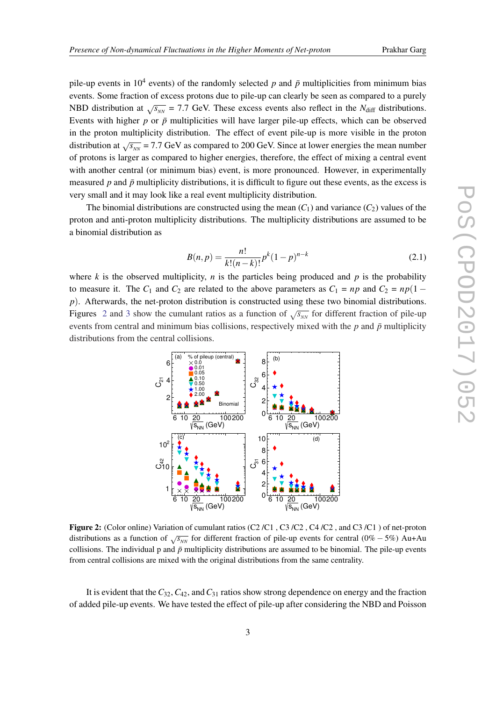pile-up events in 10<sup>4</sup> events) of the randomly selected  $p$  and  $\bar{p}$  multiplicities from minimum bias events. Some fraction of excess protons due to pile-up can clearly be seen as compared to a purely NBD distribution at  $\sqrt{s_{NN}}$  = 7.7 GeV. These excess events also reflect in the *N*<sub>diff</sub> distributions. Events with higher  $p$  or  $\bar{p}$  multiplicities will have larger pile-up effects, which can be observed in the proton multiplicity distribution. The effect of event pile-up is more visible in the proton distribution at  $\sqrt{s_{NN}}$  = 7.7 GeV as compared to 200 GeV. Since at lower energies the mean number of protons is larger as compared to higher energies, therefore, the effect of mixing a central event with another central (or minimum bias) event, is more pronounced. However, in experimentally measured  $p$  and  $\bar{p}$  multiplicity distributions, it is difficult to figure out these events, as the excess is very small and it may look like a real event multiplicity distribution.

The binomial distributions are constructed using the mean  $(C_1)$  and variance  $(C_2)$  values of the proton and anti-proton multiplicity distributions. The multiplicity distributions are assumed to be a binomial distribution as

$$
B(n,p) = \frac{n!}{k!(n-k)!}p^{k}(1-p)^{n-k}
$$
\n(2.1)

where  $k$  is the observed multiplicity,  $n$  is the particles being produced and  $p$  is the probability to measure it. The  $C_1$  and  $C_2$  are related to the above parameters as  $C_1 = np$  and  $C_2 = np(1$ *p*). Afterwards, the net-proton distribution is constructed using these two binomial distributions. Figures 2 and [3](#page-4-0) show the cumulant ratios as a function of  $\sqrt{s_{NN}}$  for different fraction of pile-up events from central and minimum bias collisions, respectively mixed with the  $p$  and  $\bar{p}$  multiplicity distributions from the central collisions.



Figure 2: (Color online) Variation of cumulant ratios (C2/C1, C3/C2, C4/C2, and C3/C1) of net-proton distributions as a function of  $\sqrt{s_{NN}}$  for different fraction of pile-up events for central (0% – 5%) Au+Au collisions. The individual p and  $\bar{p}$  multiplicity distributions are assumed to be binomial. The pile-up events from central collisions are mixed with the original distributions from the same centrality.

It is evident that the*C*32,*C*42, and*C*<sup>31</sup> ratios show strong dependence on energy and the fraction of added pile-up events. We have tested the effect of pile-up after considering the NBD and Poisson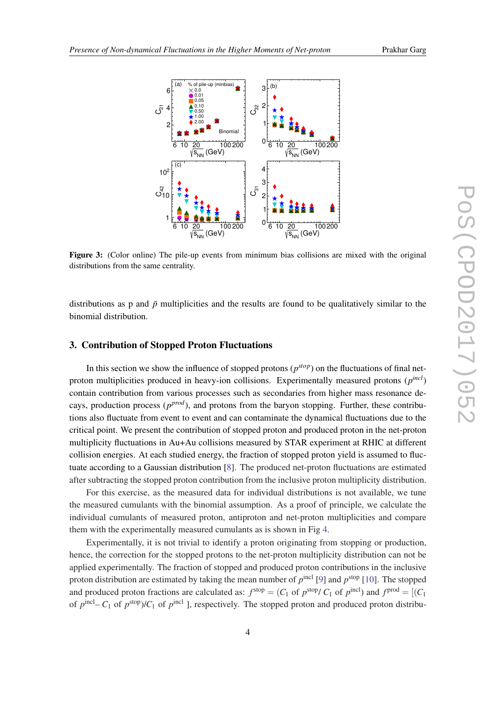<span id="page-4-0"></span>

Figure 3: (Color online) The pile-up events from minimum bias collisions are mixed with the original distributions from the same centrality.

distributions as p and  $\bar{p}$  multiplicities and the results are found to be qualitatively similar to the binomial distribution.

#### 3. Contribution of Stopped Proton Fluctuations

In this section we show the influence of stopped protons  $(p^{stop})$  on the fluctuations of final netproton multiplicities produced in heavy-ion collisions. Experimentally measured protons (*p incl*) contain contribution from various processes such as secondaries from higher mass resonance decays, production process ( $p^{prod}$ ), and protons from the baryon stopping. Further, these contributions also fluctuate from event to event and can contaminate the dynamical fluctuations due to the critical point. We present the contribution of stopped proton and produced proton in the net-proton multiplicity fluctuations in Au+Au collisions measured by STAR experiment at RHIC at different collision energies. At each studied energy, the fraction of stopped proton yield is assumed to fluctuate according to a Gaussian distribution [\[8\]](#page-7-0). The produced net-proton fluctuations are estimated after subtracting the stopped proton contribution from the inclusive proton multiplicity distribution.

For this exercise, as the measured data for individual distributions is not available, we tune the measured cumulants with the binomial assumption. As a proof of principle, we calculate the individual cumulants of measured proton, antiproton and net-proton multiplicities and compare them with the experimentally measured cumulants as is shown in Fig [4.](#page-5-0)

Experimentally, it is not trivial to identify a proton originating from stopping or production, hence, the correction for the stopped protons to the net-proton multiplicity distribution can not be applied experimentally. The fraction of stopped and produced proton contributions in the inclusive proton distribution are estimated by taking the mean number of  $p^{\text{incl}}$  [[9](#page-7-0)] and  $p^{\text{stop}}$  [\[10](#page-7-0)]. The stopped and produced proton fractions are calculated as:  $f^{stop} = (C_1 \text{ of } p^{stop}/ C_1 \text{ of } p^{incl})$  and  $f^{prod} = [(C_1 \text{ of } p^{stop}/ C_1 \text{ of } p^{incl})]$ of  $p^{\text{incl}} - C_1$  of  $p^{\text{stop}}$ )/ $C_1$  of  $p^{\text{incl}}$  ], respectively. The stopped proton and produced proton distribu-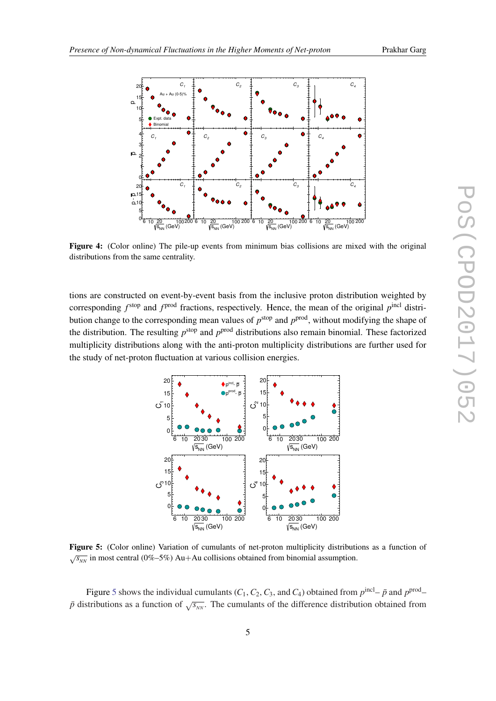

<span id="page-5-0"></span>

Figure 4: (Color online) The pile-up events from minimum bias collisions are mixed with the original distributions from the same centrality.

tions are constructed on event-by-event basis from the inclusive proton distribution weighted by corresponding  $f<sup>stop</sup>$  and  $f<sup>prod</sup>$  fractions, respectively. Hence, the mean of the original  $p<sup>incl</sup>$  distribution change to the corresponding mean values of  $p^{stop}$  and  $p^{prod}$ , without modifying the shape of the distribution. The resulting  $p^{\text{stop}}$  and  $p^{\text{prod}}$  distributions also remain binomial. These factorized multiplicity distributions along with the anti-proton multiplicity distributions are further used for the study of net-proton fluctuation at various collision energies.



Figure 5: (Color online) Variation of cumulants of net-proton multiplicity distributions as a function of  $\sqrt{s_{NN}}$  in most central (0%–5%) Au+Au collisions obtained from binomial assumption.

Figure 5 shows the individual cumulants ( $C_1$ ,  $C_2$ ,  $C_3$ , and  $C_4$ ) obtained from  $p^{\text{incl}} - \bar{p}$  and  $p^{\text{prod}} \bar{p}$  distributions as a function of  $\sqrt{s_{NN}}$ . The cumulants of the difference distribution obtained from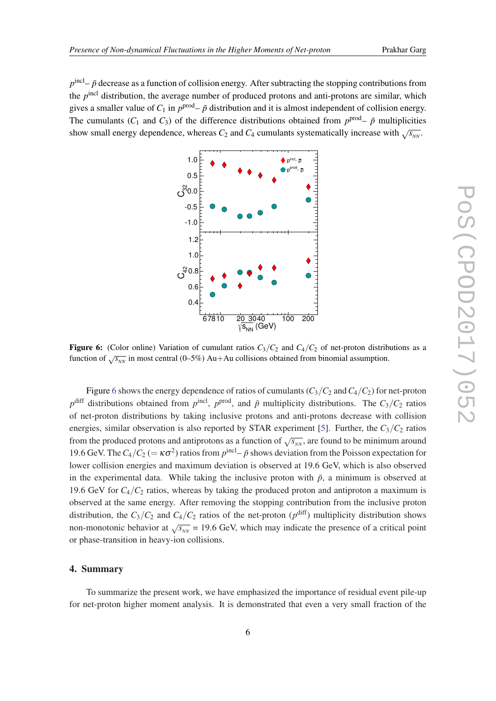$p^{\text{incl}}$ –  $\bar{p}$  decrease as a function of collision energy. After subtracting the stopping contributions from the *p*<sup>incl</sup> distribution, the average number of produced protons and anti-protons are similar, which gives a smaller value of  $C_1$  in  $p^{\text{prod}} - \bar{p}$  distribution and it is almost independent of collision energy. The cumulants ( $C_1$  and  $C_3$ ) of the difference distributions obtained from  $p^{\text{prod}} - \bar{p}$  multiplicities show small energy dependence, whereas  $C_2$  and  $C_4$  cumulants systematically increase with  $\sqrt{s_{NN}}$ .



**Figure 6:** (Color online) Variation of cumulant ratios  $C_3/C_2$  and  $C_4/C_2$  of net-proton distributions as a function of  $\sqrt{s_{NN}}$  in most central (0–5%) Au+Au collisions obtained from binomial assumption.

Figure 6 shows the energy dependence of ratios of cumulants  $(C_3/C_2$  and  $C_4/C_2$  for net-proton  $p^{\text{diff}}$  distributions obtained from  $p^{\text{incl}}$ ,  $p^{\text{prod}}$ , and  $\bar{p}$  multiplicity distributions. The  $C_3/C_2$  ratios of net-proton distributions by taking inclusive protons and anti-protons decrease with collision energies, similar observation is also reported by STAR experiment [\[5\]](#page-7-0). Further, the  $C_3/C_2$  ratios from the produced protons and antiprotons as a function of  $\sqrt{s_{NN}}$ , are found to be minimum around 19.6 GeV. The  $C_4/C_2 (= \kappa \sigma^2)$  ratios from  $p^{\text{incl}} - \bar{p}$  shows deviation from the Poisson expectation for lower collision energies and maximum deviation is observed at 19.6 GeV, which is also observed in the experimental data. While taking the inclusive proton with  $\bar{p}$ , a minimum is observed at 19.6 GeV for  $C_4/C_2$  ratios, whereas by taking the produced proton and antiproton a maximum is observed at the same energy. After removing the stopping contribution from the inclusive proton distribution, the  $C_3/C_2$  and  $C_4/C_2$  ratios of the net-proton  $(p^{\text{diff}})$  multiplicity distribution shows non-monotonic behavior at  $\sqrt{s_{NN}}$  = 19.6 GeV, which may indicate the presence of a critical point or phase-transition in heavy-ion collisions.

#### 4. Summary

To summarize the present work, we have emphasized the importance of residual event pile-up for net-proton higher moment analysis. It is demonstrated that even a very small fraction of the